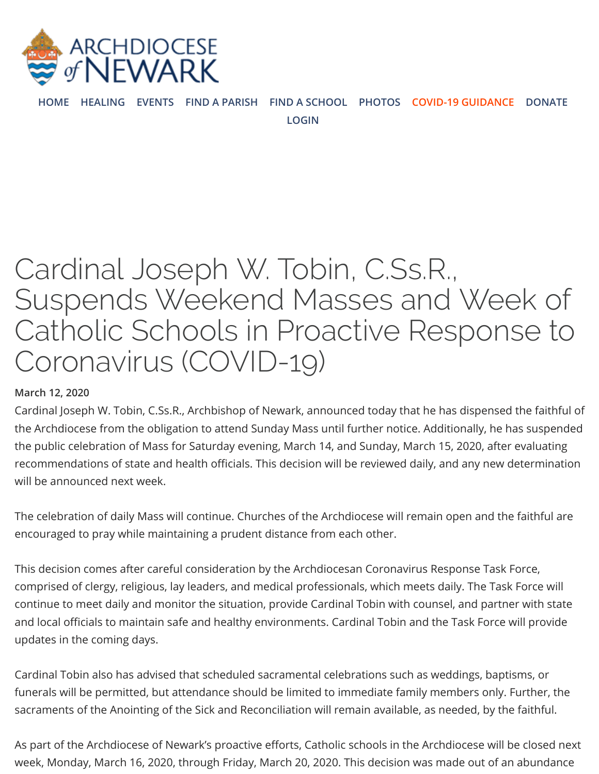

**[HOME](https://www.rcan.org/) [HEALING](https://healing.rcan.org/) [EVENTS](https://www.rcan.org/calendar-events) [FIND A PARISH](https://www.rcan.org/parishes-map) [FIND A SCHOOL](http://catholicschoolsnj.org/) [PHOTOS](https://www.rcan.org/photos) [COVID-19 GUIDANCE](https://www.rcan.org/archdiocese-newark-issues-guidance-priests-religious-and-parishioners-regarding-coronavirus-covid-19) [DONATE](https://www.rcan.org/ways-to-give)**

**[LOGIN](https://www.rcan.org/user/login?current=node/175014)**

# Cardinal Joseph W. Tobin, C.Ss.R., Suspends Weekend Masses and Week of Catholic Schools in Proactive Response to Coronavirus (COVID-19)

#### **March 12, 2020**

Cardinal Joseph W. Tobin, C.Ss.R., Archbishop of Newark, announced today that he has dispensed the faithful of the Archdiocese from the obligation to attend Sunday Mass until further notice. Additionally, he has suspended the public celebration of Mass for Saturday evening, March 14, and Sunday, March 15, 2020, after evaluating recommendations of state and health officials. This decision will be reviewed daily, and any new determination will be announced next week.

The celebration of daily Mass will continue. Churches of the Archdiocese will remain open and the faithful are encouraged to pray while maintaining a prudent distance from each other.

This decision comes after careful consideration by the Archdiocesan Coronavirus Response Task Force, comprised of clergy, religious, lay leaders, and medical professionals, which meets daily. The Task Force will continue to meet daily and monitor the situation, provide Cardinal Tobin with counsel, and partner with state and local officials to maintain safe and healthy environments. Cardinal Tobin and the Task Force will provide updates in the coming days.

Cardinal Tobin also has advised that scheduled sacramental celebrations such as weddings, baptisms, or funerals will be permitted, but attendance should be limited to immediate family members only. Further, the sacraments of the Anointing of the Sick and Reconciliation will remain available, as needed, by the faithful.

As part of the Archdiocese of Newark's proactive efforts, Catholic schools in the Archdiocese will be closed next week, Monday, March 16, 2020, through Friday, March 20, 2020. This decision was made out of an abundance